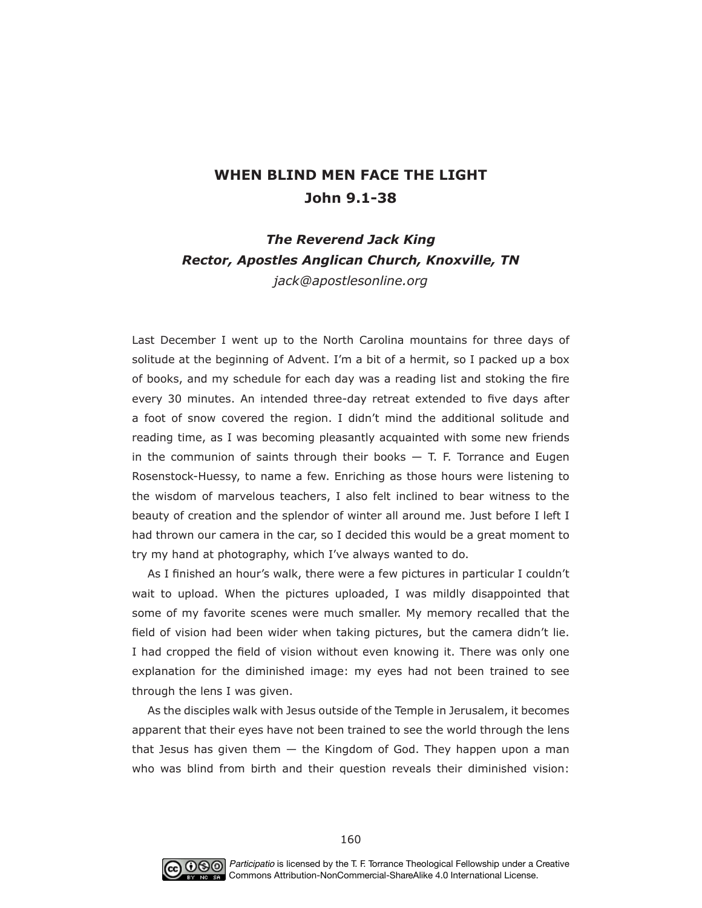## **WHEN BLIND MEN FACE THE LIGHT John 9.1-38**

## *The Reverend Jack King Rector, Apostles Anglican Church, Knoxville, TN jack@apostlesonline.org*

Last December I went up to the North Carolina mountains for three days of solitude at the beginning of Advent. I'm a bit of a hermit, so I packed up a box of books, and my schedule for each day was a reading list and stoking the fre every 30 minutes. An intended three-day retreat extended to fve days after a foot of snow covered the region. I didn't mind the additional solitude and reading time, as I was becoming pleasantly acquainted with some new friends in the communion of saints through their books  $-$  T. F. Torrance and Eugen Rosenstock-Huessy, to name a few. Enriching as those hours were listening to the wisdom of marvelous teachers, I also felt inclined to bear witness to the beauty of creation and the splendor of winter all around me. Just before I left I had thrown our camera in the car, so I decided this would be a great moment to try my hand at photography, which I've always wanted to do.

As I finished an hour's walk, there were a few pictures in particular I couldn't wait to upload. When the pictures uploaded, I was mildly disappointed that some of my favorite scenes were much smaller. My memory recalled that the feld of vision had been wider when taking pictures, but the camera didn't lie. I had cropped the feld of vision without even knowing it. There was only one explanation for the diminished image: my eyes had not been trained to see through the lens I was given.

As the disciples walk with Jesus outside of the Temple in Jerusalem, it becomes apparent that their eyes have not been trained to see the world through the lens that Jesus has given them  $-$  the Kingdom of God. They happen upon a man who was blind from birth and their question reveals their diminished vision:

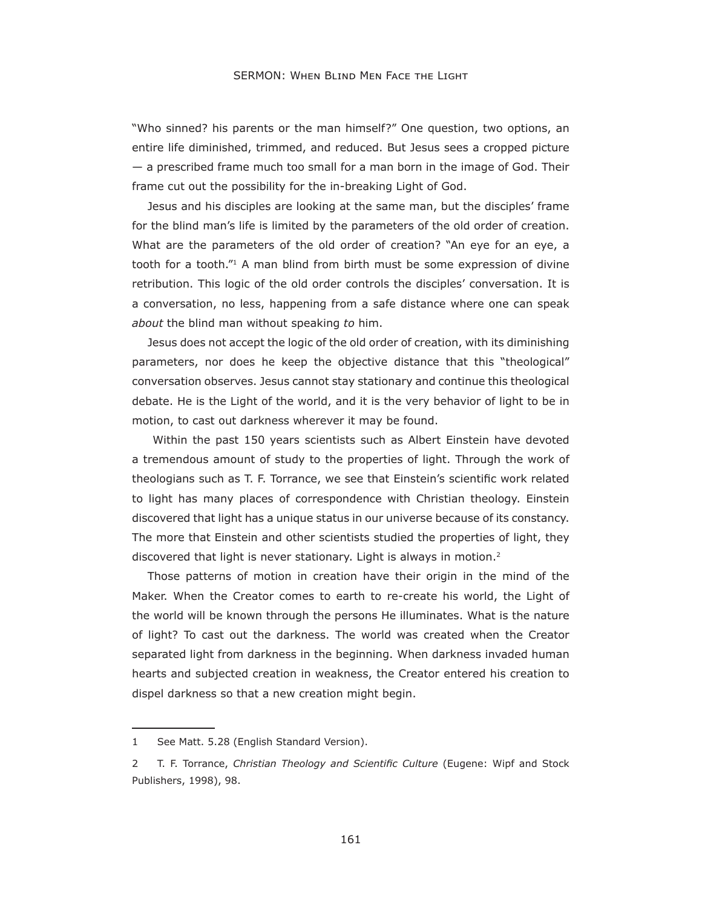"Who sinned? his parents or the man himself?" One question, two options, an entire life diminished, trimmed, and reduced. But Jesus sees a cropped picture - a prescribed frame much too small for a man born in the image of God. Their frame cut out the possibility for the in-breaking Light of God.

Jesus and his disciples are looking at the same man, but the disciples' frame for the blind man's life is limited by the parameters of the old order of creation. What are the parameters of the old order of creation? "An eye for an eye, a tooth for a tooth."<sup>1</sup> A man blind from birth must be some expression of divine retribution. This logic of the old order controls the disciples' conversation. It is a conversation, no less, happening from a safe distance where one can speak about the blind man without speaking to him.

Jesus does not accept the logic of the old order of creation, with its diminishing parameters, nor does he keep the objective distance that this "theological" conversation observes. Jesus cannot stay stationary and continue this theological debate. He is the Light of the world, and it is the very behavior of light to be in motion, to cast out darkness wherever it may be found.

Within the past 150 years scientists such as Albert Einstein have devoted a tremendous amount of study to the properties of light. Through the work of theologians such as T. F. Torrance, we see that Einstein's scientific work related to light has many places of correspondence with Christian theology. Einstein discovered that light has a unique status in our universe because of its constancy. The more that Einstein and other scientists studied the properties of light, they discovered that light is never stationary. Light is always in motion.<sup>2</sup>

Those patterns of motion in creation have their origin in the mind of the Maker. When the Creator comes to earth to re-create his world, the Light of the world will be known through the persons He illuminates. What is the nature of light? To cast out the darkness. The world was created when the Creator separated light from darkness in the beginning. When darkness invaded human hearts and subjected creation in weakness, the Creator entered his creation to dispel darkness so that a new creation might begin.

See Matt. 5.28 (English Standard Version).  $\mathbf{1}$ 

T. F. Torrance, Christian Theology and Scientific Culture (Eugene: Wipf and Stock  $\overline{2}$ Publishers, 1998), 98.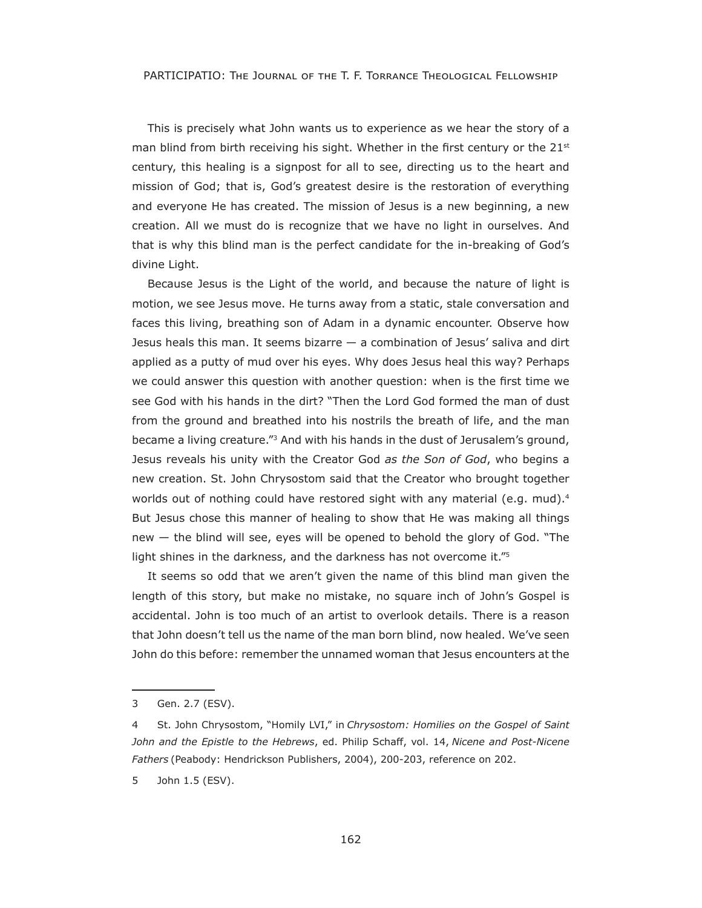PARTICIPATIO: THE JOURNAL OF THE T. F. TORRANCE THEOLOGICAL FELLOWSHIP

This is precisely what John wants us to experience as we hear the story of a man blind from birth receiving his sight. Whether in the first century or the  $21<sup>st</sup>$ century, this healing is a signpost for all to see, directing us to the heart and mission of God; that is, God's greatest desire is the restoration of everything and everyone He has created. The mission of Jesus is a new beginning, a new creation. All we must do is recognize that we have no light in ourselves. And that is why this blind man is the perfect candidate for the in-breaking of God's divine Light.

Because Jesus is the Light of the world, and because the nature of light is motion, we see Jesus move. He turns away from a static, stale conversation and faces this living, breathing son of Adam in a dynamic encounter. Observe how Jesus heals this man. It seems bizarre — a combination of Jesus' saliva and dirt applied as a putty of mud over his eyes. Why does Jesus heal this way? Perhaps we could answer this question with another question: when is the frst time we see God with his hands in the dirt? "Then the Lord God formed the man of dust from the ground and breathed into his nostrils the breath of life, and the man became a living creature."3 And with his hands in the dust of Jerusalem's ground, Jesus reveals his unity with the Creator God *as the Son of God*, who begins a new creation. St. John Chrysostom said that the Creator who brought together worlds out of nothing could have restored sight with any material (e.g. mud).<sup>4</sup> But Jesus chose this manner of healing to show that He was making all things new  $-$  the blind will see, eyes will be opened to behold the glory of God. "The light shines in the darkness, and the darkness has not overcome it."<sup>5</sup>

It seems so odd that we aren't given the name of this blind man given the length of this story, but make no mistake, no square inch of John's Gospel is accidental. John is too much of an artist to overlook details. There is a reason that John doesn't tell us the name of the man born blind, now healed. We've seen John do this before: remember the unnamed woman that Jesus encounters at the

5 John 1.5 (ESV).

<sup>3</sup> Gen. 2.7 (ESV).

St. John Chrysostom, "Homily LVI," in *Chrysostom: Homilies on the Gospel of Saint John and the Epistle to the Hebrews*, ed. Philip Schaff, vol. 14, *Nicene and Post-Nicene Fathers* (Peabody: Hendrickson Publishers, 2004), 200-203, reference on 202.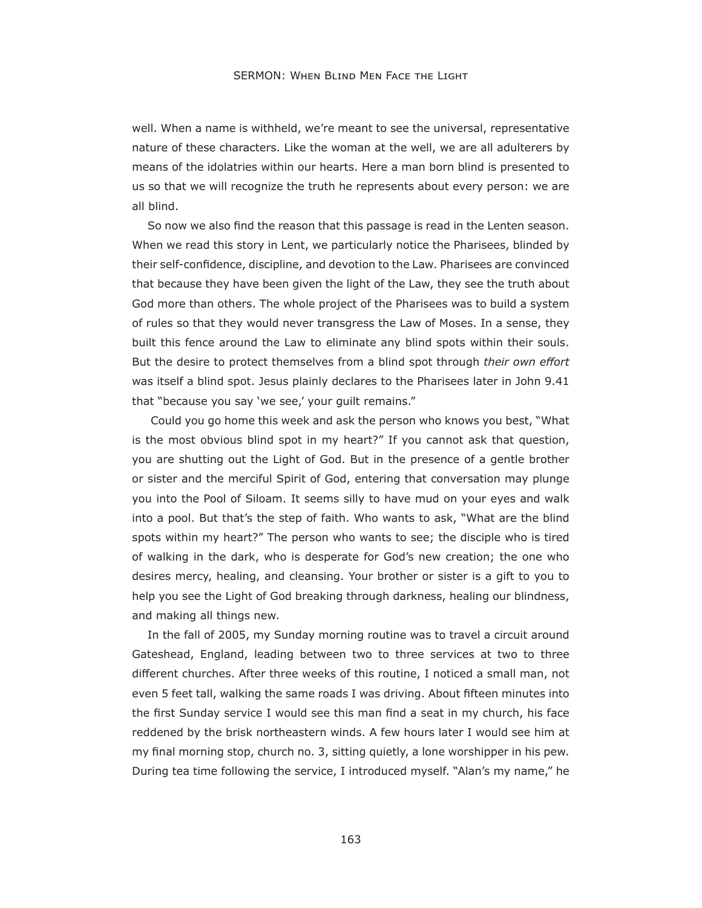well. When a name is withheld, we're meant to see the universal, representative nature of these characters. Like the woman at the well, we are all adulterers by means of the idolatries within our hearts. Here a man born blind is presented to us so that we will recognize the truth he represents about every person: we are all blind.

So now we also fnd the reason that this passage is read in the Lenten season. When we read this story in Lent, we particularly notice the Pharisees, blinded by their self-confdence, discipline, and devotion to the Law. Pharisees are convinced that because they have been given the light of the Law, they see the truth about God more than others. The whole project of the Pharisees was to build a system of rules so that they would never transgress the Law of Moses. In a sense, they built this fence around the Law to eliminate any blind spots within their souls. But the desire to protect themselves from a blind spot through *their own effort* was itself a blind spot. Jesus plainly declares to the Pharisees later in John 9.41 that "because you say 'we see,' your guilt remains."

 Could you go home this week and ask the person who knows you best, "What is the most obvious blind spot in my heart?" If you cannot ask that question, you are shutting out the Light of God. But in the presence of a gentle brother or sister and the merciful Spirit of God, entering that conversation may plunge you into the Pool of Siloam. It seems silly to have mud on your eyes and walk into a pool. But that's the step of faith. Who wants to ask, "What are the blind spots within my heart?" The person who wants to see; the disciple who is tired of walking in the dark, who is desperate for God's new creation; the one who desires mercy, healing, and cleansing. Your brother or sister is a gift to you to help you see the Light of God breaking through darkness, healing our blindness, and making all things new.

In the fall of 2005, my Sunday morning routine was to travel a circuit around Gateshead, England, leading between two to three services at two to three different churches. After three weeks of this routine, I noticed a small man, not even 5 feet tall, walking the same roads I was driving. About ffteen minutes into the frst Sunday service I would see this man fnd a seat in my church, his face reddened by the brisk northeastern winds. A few hours later I would see him at my fnal morning stop, church no. 3, sitting quietly, a lone worshipper in his pew. During tea time following the service, I introduced myself. "Alan's my name," he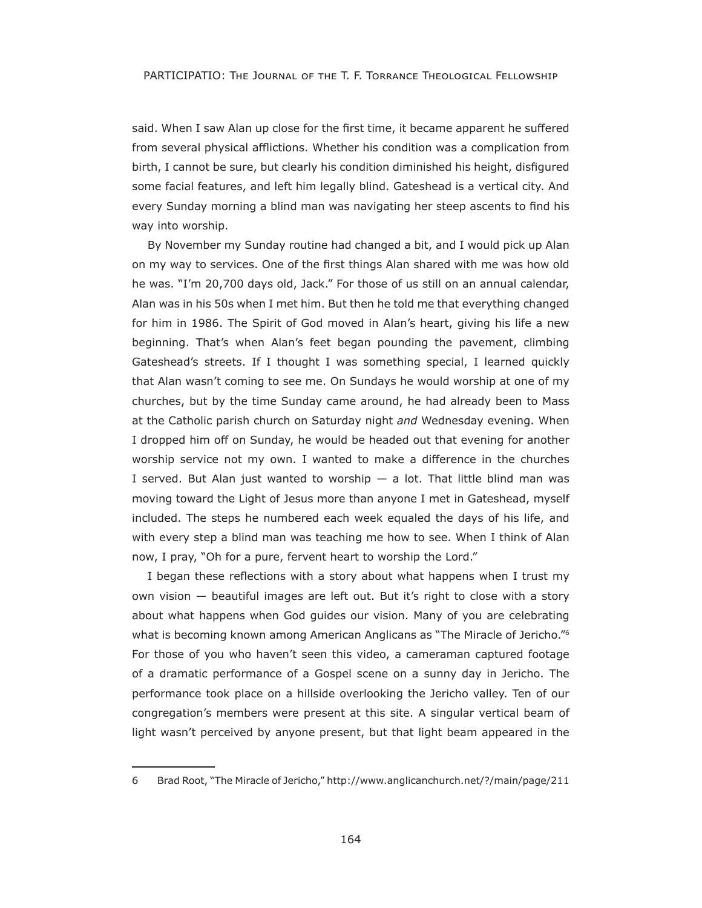said. When I saw Alan up close for the first time, it became apparent he suffered from several physical afflictions. Whether his condition was a complication from birth, I cannot be sure, but clearly his condition diminished his height, disfgured some facial features, and left him legally blind. Gateshead is a vertical city. And every Sunday morning a blind man was navigating her steep ascents to fnd his way into worship.

By November my Sunday routine had changed a bit, and I would pick up Alan on my way to services. One of the frst things Alan shared with me was how old he was. "I'm 20,700 days old, Jack." For those of us still on an annual calendar, Alan was in his 50s when I met him. But then he told me that everything changed for him in 196. The Spirit of God moved in Alan's heart, giving his life a new beginning. That's when Alan's feet began pounding the pavement, climbing Gateshead's streets. If I thought I was something special, I learned quickly that Alan wasn't coming to see me. On Sundays he would worship at one of my churches, but by the time Sunday came around, he had already been to Mass at the Catholic parish church on Saturday night *and* Wednesday evening. When I dropped him off on Sunday, he would be headed out that evening for another worship service not my own. I wanted to make a difference in the churches I served. But Alan just wanted to worship  $-$  a lot. That little blind man was moving toward the Light of Jesus more than anyone I met in Gateshead, myself included. The steps he numbered each week equaled the days of his life, and with every step a blind man was teaching me how to see. When I think of Alan now, I pray, "Oh for a pure, fervent heart to worship the Lord."

I began these reflections with a story about what happens when I trust my own vision  $-$  beautiful images are left out. But it's right to close with a story about what happens when God guides our vision. Many of you are celebrating what is becoming known among American Anglicans as "The Miracle of Jericho."<sup>6</sup> For those of you who haven't seen this video, a cameraman captured footage of a dramatic performance of a Gospel scene on a sunny day in Jericho. The performance took place on a hillside overlooking the Jericho valley. Ten of our congregation's members were present at this site. A singular vertical beam of light wasn't perceived by anyone present, but that light beam appeared in the

<sup>6</sup> Brad Root, "The Miracle of Jericho," http://www.anglicanchurch.net/?/main/page/211